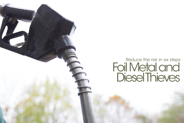## Reduce the risk in six steps Foil Metal and **Diesel Thieves**

not the notice of the company